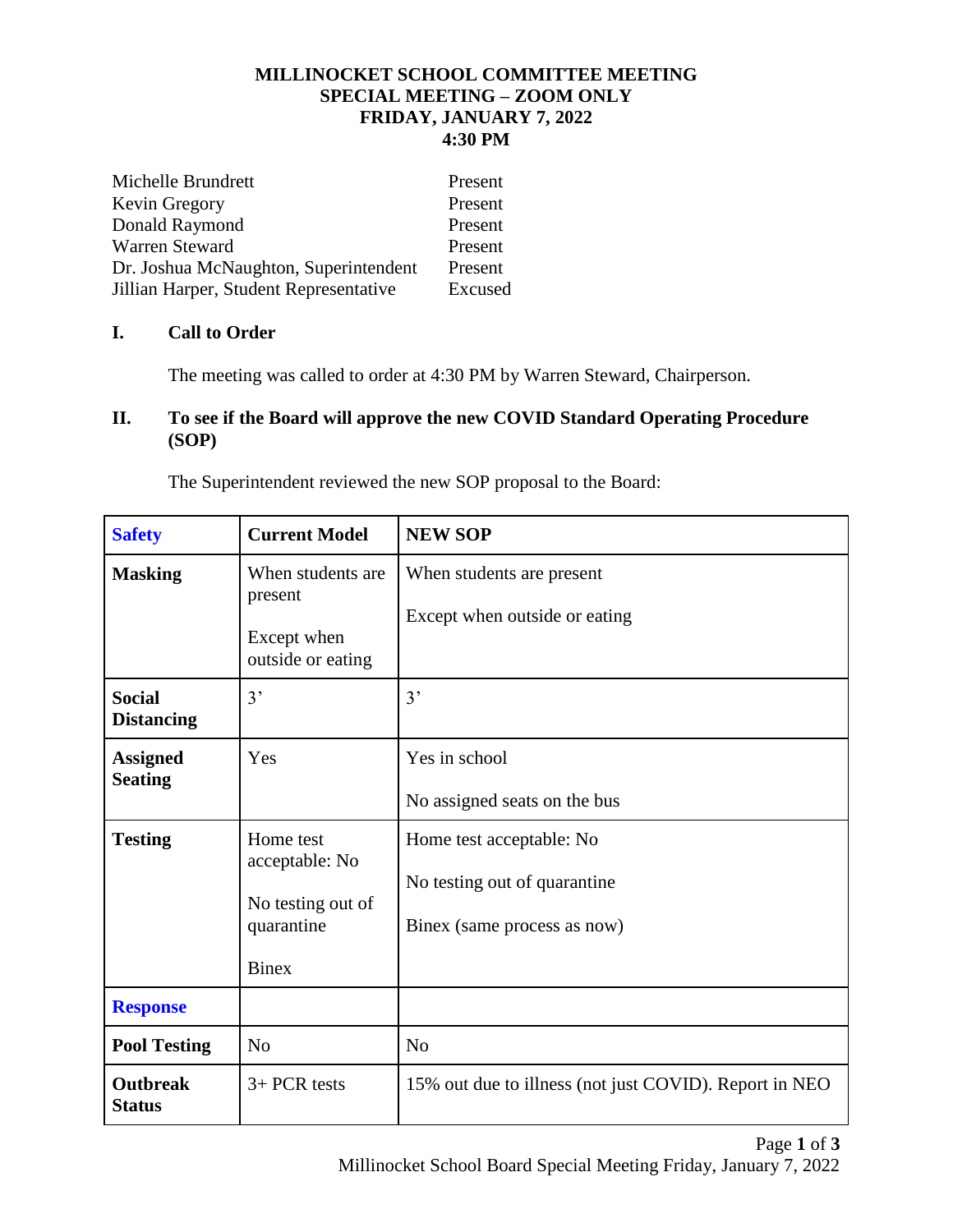### **MILLINOCKET SCHOOL COMMITTEE MEETING SPECIAL MEETING – ZOOM ONLY FRIDAY, JANUARY 7, 2022 4:30 PM**

| Michelle Brundrett                     | Present |
|----------------------------------------|---------|
| Kevin Gregory                          | Present |
| Donald Raymond                         | Present |
| Warren Steward                         | Present |
| Dr. Joshua McNaughton, Superintendent  | Present |
| Jillian Harper, Student Representative | Excused |

# **I. Call to Order**

The meeting was called to order at 4:30 PM by Warren Steward, Chairperson.

## **II. To see if the Board will approve the new COVID Standard Operating Procedure (SOP)**

| <b>Safety</b>                      | <b>Current Model</b>                                                           | <b>NEW SOP</b>                                                                          |
|------------------------------------|--------------------------------------------------------------------------------|-----------------------------------------------------------------------------------------|
| <b>Masking</b>                     | When students are<br>present<br>Except when<br>outside or eating               | When students are present<br>Except when outside or eating                              |
| <b>Social</b><br><b>Distancing</b> | 3'                                                                             | 3'                                                                                      |
| <b>Assigned</b><br><b>Seating</b>  | Yes                                                                            | Yes in school<br>No assigned seats on the bus                                           |
| <b>Testing</b>                     | Home test<br>acceptable: No<br>No testing out of<br>quarantine<br><b>Binex</b> | Home test acceptable: No<br>No testing out of quarantine<br>Binex (same process as now) |
| <b>Response</b>                    |                                                                                |                                                                                         |
| <b>Pool Testing</b>                | N <sub>o</sub>                                                                 | N <sub>o</sub>                                                                          |
| <b>Outbreak</b><br><b>Status</b>   | $3+$ PCR tests                                                                 | 15% out due to illness (not just COVID). Report in NEO                                  |

The Superintendent reviewed the new SOP proposal to the Board: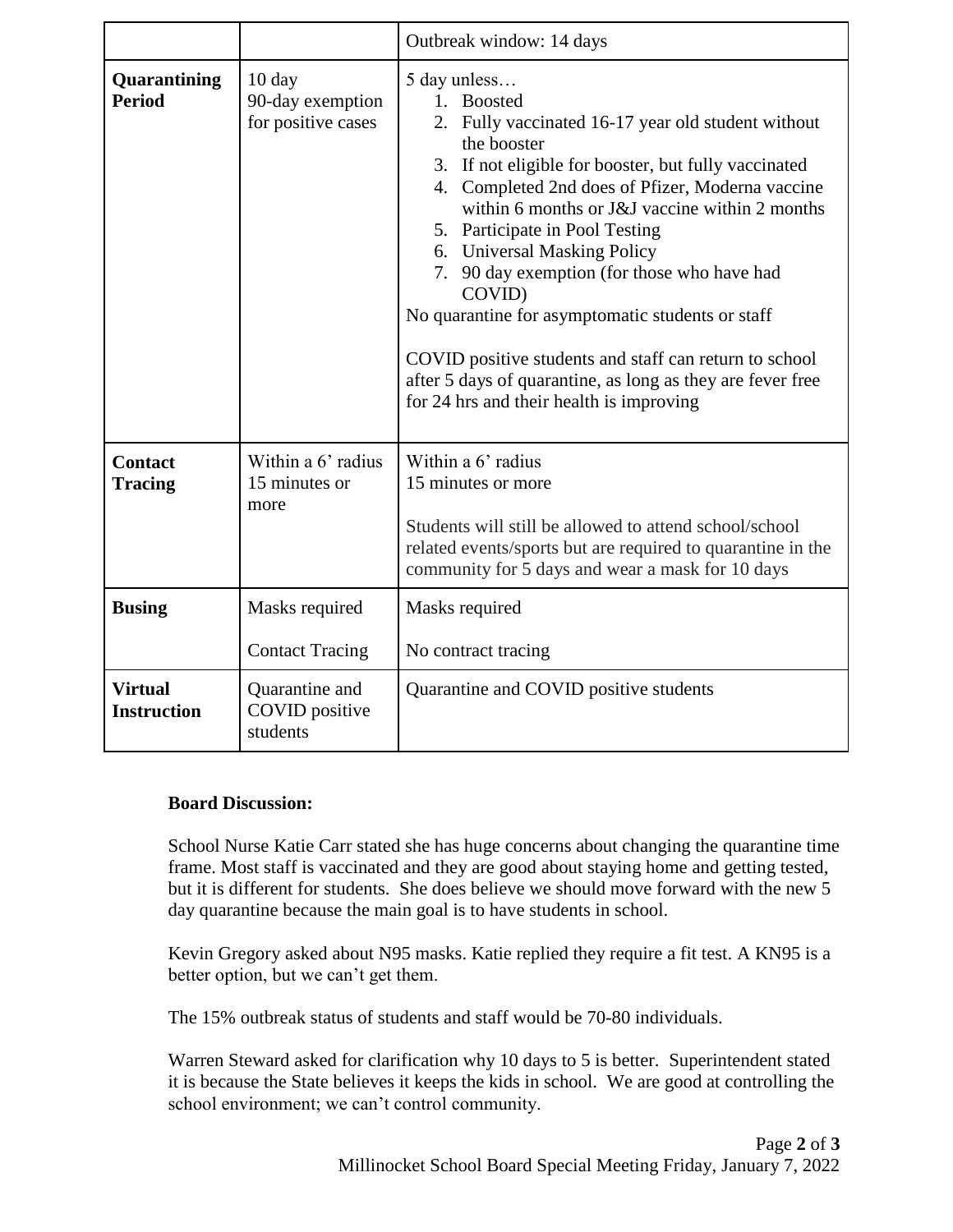|                                      |                                                            | Outbreak window: 14 days                                                                                                                                                                                                                                                                                                                                                                                                                                                                                                                                                                                        |
|--------------------------------------|------------------------------------------------------------|-----------------------------------------------------------------------------------------------------------------------------------------------------------------------------------------------------------------------------------------------------------------------------------------------------------------------------------------------------------------------------------------------------------------------------------------------------------------------------------------------------------------------------------------------------------------------------------------------------------------|
| Quarantining<br><b>Period</b>        | $10 \text{ day}$<br>90-day exemption<br>for positive cases | 5 day unless<br>1. Boosted<br>2. Fully vaccinated 16-17 year old student without<br>the booster<br>3. If not eligible for booster, but fully vaccinated<br>4. Completed 2nd does of Pfizer, Moderna vaccine<br>within 6 months or J&J vaccine within 2 months<br>5. Participate in Pool Testing<br>6. Universal Masking Policy<br>7. 90 day exemption (for those who have had<br>COVID)<br>No quarantine for asymptomatic students or staff<br>COVID positive students and staff can return to school<br>after 5 days of quarantine, as long as they are fever free<br>for 24 hrs and their health is improving |
| <b>Contact</b><br><b>Tracing</b>     | Within a 6' radius<br>15 minutes or<br>more                | Within a 6' radius<br>15 minutes or more<br>Students will still be allowed to attend school/school<br>related events/sports but are required to quarantine in the<br>community for 5 days and wear a mask for 10 days                                                                                                                                                                                                                                                                                                                                                                                           |
| <b>Busing</b>                        | Masks required<br><b>Contact Tracing</b>                   | Masks required<br>No contract tracing                                                                                                                                                                                                                                                                                                                                                                                                                                                                                                                                                                           |
| <b>Virtual</b><br><b>Instruction</b> | Quarantine and<br><b>COVID</b> positive<br>students        | Quarantine and COVID positive students                                                                                                                                                                                                                                                                                                                                                                                                                                                                                                                                                                          |

#### **Board Discussion:**

School Nurse Katie Carr stated she has huge concerns about changing the quarantine time frame. Most staff is vaccinated and they are good about staying home and getting tested, but it is different for students. She does believe we should move forward with the new 5 day quarantine because the main goal is to have students in school.

Kevin Gregory asked about N95 masks. Katie replied they require a fit test. A KN95 is a better option, but we can't get them.

The 15% outbreak status of students and staff would be 70-80 individuals.

Warren Steward asked for clarification why 10 days to 5 is better. Superintendent stated it is because the State believes it keeps the kids in school. We are good at controlling the school environment; we can't control community.